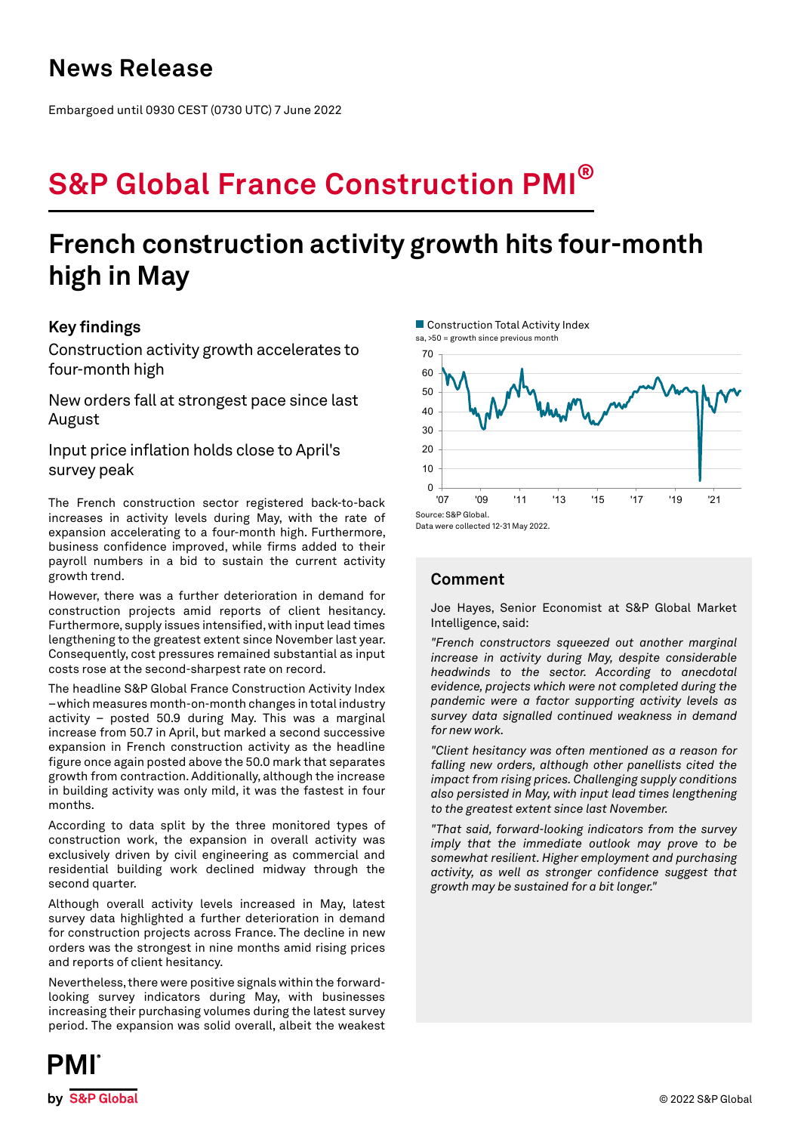Embargoed until 0930 CEST (0730 UTC) 7 June 2022

# **S&P Global France Construction PMI®**

## **French construction activity growth hits four-month high in May**

## **Key findings**

Construction activity growth accelerates to four-month high

New orders fall at strongest pace since last August

Input price inflation holds close to April's survey peak

The French construction sector registered back-to-back increases in activity levels during May, with the rate of expansion accelerating to a four-month high. Furthermore, business confidence improved, while firms added to their payroll numbers in a bid to sustain the current activity growth trend.

However, there was a further deterioration in demand for construction projects amid reports of client hesitancy. Furthermore, supply issues intensified, with input lead times lengthening to the greatest extent since November last year. Consequently, cost pressures remained substantial as input costs rose at the second-sharpest rate on record.

The headline S&P Global France Construction Activity Index – which measures month-on-month changes in total industry activity – posted 50.9 during May. This was a marginal increase from 50.7 in April, but marked a second successive expansion in French construction activity as the headline figure once again posted above the 50.0 mark that separates growth from contraction. Additionally, although the increase in building activity was only mild, it was the fastest in four months.

According to data split by the three monitored types of construction work, the expansion in overall activity was exclusively driven by civil engineering as commercial and residential building work declined midway through the second quarter.

Although overall activity levels increased in May, latest survey data highlighted a further deterioration in demand for construction projects across France. The decline in new orders was the strongest in nine months amid rising prices and reports of client hesitancy.

Nevertheless, there were positive signals within the forwardlooking survey indicators during May, with businesses increasing their purchasing volumes during the latest survey period. The expansion was solid overall, albeit the weakest





## **Comment**

Joe Hayes, Senior Economist at S&P Global Market Intelligence, said:

*"French constructors squeezed out another marginal increase in activity during May, despite considerable headwinds to the sector. According to anecdotal evidence, projects which were not completed during the pandemic were a factor supporting activity levels as survey data signalled continued weakness in demand for new work.* 

*"Client hesitancy was often mentioned as a reason for falling new orders, although other panellists cited the impact from rising prices. Challenging supply conditions also persisted in May, with input lead times lengthening to the greatest extent since last November.* 

*"That said, forward-looking indicators from the survey imply that the immediate outlook may prove to be somewhat resilient. Higher employment and purchasing activity, as well as stronger confidence suggest that growth may be sustained for a bit longer."*